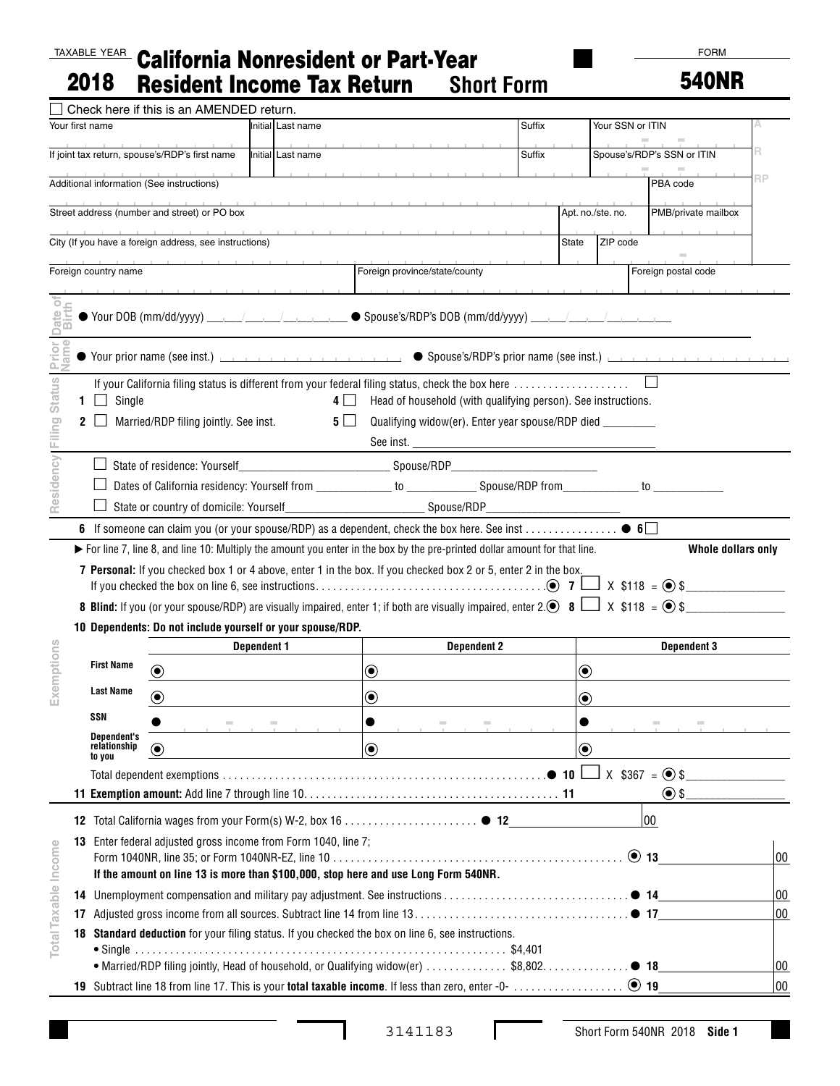## TAXABLE YEAR California Nonresident or Part-Year 2018 Resident Income Tax Return **Short Form**

FORM

540NR

|                      |                                                                                                                                                                                                                        | Check here if this is an AMENDED return.               |                    |                                                             |                                                                                                                             |        |                             |                   |                            |                        |
|----------------------|------------------------------------------------------------------------------------------------------------------------------------------------------------------------------------------------------------------------|--------------------------------------------------------|--------------------|-------------------------------------------------------------|-----------------------------------------------------------------------------------------------------------------------------|--------|-----------------------------|-------------------|----------------------------|------------------------|
|                      | Your first name                                                                                                                                                                                                        |                                                        |                    | Initial Last name                                           |                                                                                                                             | Suffix |                             | Your SSN or ITIN  |                            |                        |
|                      |                                                                                                                                                                                                                        | If joint tax return, spouse's/RDP's first name         |                    | Initial Last name                                           |                                                                                                                             | Suffix |                             |                   | Spouse's/RDP's SSN or ITIN |                        |
|                      |                                                                                                                                                                                                                        | Additional information (See instructions)              |                    | the company of the company of                               |                                                                                                                             |        |                             |                   | PBA code                   | RP                     |
|                      |                                                                                                                                                                                                                        | Street address (number and street) or PO box           |                    |                                                             |                                                                                                                             |        |                             | Apt. no./ste. no. | PMB/private mailbox        |                        |
|                      |                                                                                                                                                                                                                        | City (If you have a foreign address, see instructions) |                    |                                                             |                                                                                                                             |        | State                       | ZIP code          |                            |                        |
|                      | Foreign country name                                                                                                                                                                                                   |                                                        |                    |                                                             | Foreign province/state/county                                                                                               |        |                             |                   | Foreign postal code        |                        |
| ö<br>ate             |                                                                                                                                                                                                                        |                                                        |                    |                                                             |                                                                                                                             |        |                             |                   |                            |                        |
| Status Prior         |                                                                                                                                                                                                                        |                                                        |                    |                                                             |                                                                                                                             |        |                             |                   |                            |                        |
|                      |                                                                                                                                                                                                                        |                                                        |                    |                                                             | If your California filing status is different from your federal filing status, check the box here                           |        |                             |                   |                            |                        |
|                      | Single<br>$\perp$<br>1.                                                                                                                                                                                                |                                                        |                    | $4 \mid$                                                    | Head of household (with qualifying person). See instructions.                                                               |        |                             |                   |                            |                        |
| Residency   Filing   | 2                                                                                                                                                                                                                      | Married/RDP filing jointly. See inst.                  |                    | $5 \mid$                                                    | Qualifying widow(er). Enter year spouse/RDP died _________<br>See inst.                                                     |        |                             |                   |                            |                        |
|                      |                                                                                                                                                                                                                        |                                                        |                    |                                                             |                                                                                                                             |        |                             |                   |                            |                        |
|                      |                                                                                                                                                                                                                        |                                                        |                    |                                                             |                                                                                                                             |        |                             |                   |                            |                        |
|                      |                                                                                                                                                                                                                        | State or country of domicile: Yourself                 |                    |                                                             |                                                                                                                             |        |                             |                   |                            |                        |
|                      |                                                                                                                                                                                                                        |                                                        |                    |                                                             |                                                                                                                             |        |                             |                   |                            |                        |
|                      |                                                                                                                                                                                                                        |                                                        |                    |                                                             | ► For line 7, line 8, and line 10: Multiply the amount you enter in the box by the pre-printed dollar amount for that line. |        |                             |                   | Whole dollars only         |                        |
|                      | 7 Personal: If you checked box 1 or 4 above, enter 1 in the box. If you checked box 2 or 5, enter 2 in the box.                                                                                                        |                                                        |                    |                                                             |                                                                                                                             |        |                             |                   |                            |                        |
|                      |                                                                                                                                                                                                                        |                                                        |                    |                                                             |                                                                                                                             |        |                             |                   |                            |                        |
|                      | <b>8 Blind:</b> If you (or your spouse/RDP) are visually impaired, enter 1; if both are visually impaired, enter 2. <b>8</b> $\Box$ X \$118 = $\circ$ \$<br>10 Dependents: Do not include yourself or your spouse/RDP. |                                                        |                    |                                                             |                                                                                                                             |        |                             |                   |                            |                        |
|                      |                                                                                                                                                                                                                        |                                                        | <b>Dependent 1</b> |                                                             | <b>Dependent 2</b>                                                                                                          |        |                             |                   | <b>Dependent 3</b>         |                        |
|                      | <b>First Name</b>                                                                                                                                                                                                      |                                                        |                    |                                                             |                                                                                                                             |        | $\textcolor{blue}{\bullet}$ |                   |                            |                        |
| Exemptions           | <b>Last Name</b>                                                                                                                                                                                                       | $\textcircled{\small\bullet}$                          |                    | $\boldsymbol{\odot}$                                        |                                                                                                                             |        |                             |                   |                            |                        |
|                      | SSN                                                                                                                                                                                                                    | $\bigcirc$                                             |                    | $\bf{O}$                                                    |                                                                                                                             |        | ◉                           |                   |                            |                        |
|                      | <b>Dependent's</b>                                                                                                                                                                                                     |                                                        |                    |                                                             |                                                                                                                             |        |                             |                   | $\sim$                     | and the company's com- |
|                      | relationship<br>to you                                                                                                                                                                                                 | $\odot$                                                |                    | $\bf \odot$                                                 |                                                                                                                             |        | $\textcolor{blue}{\bullet}$ |                   |                            |                        |
|                      |                                                                                                                                                                                                                        |                                                        |                    |                                                             |                                                                                                                             |        |                             |                   |                            |                        |
|                      |                                                                                                                                                                                                                        |                                                        |                    |                                                             |                                                                                                                             |        |                             |                   | $\odot$ \$                 |                        |
|                      |                                                                                                                                                                                                                        |                                                        |                    |                                                             |                                                                                                                             |        |                             |                   | 00                         |                        |
|                      | 13                                                                                                                                                                                                                     |                                                        |                    | Enter federal adjusted gross income from Form 1040, line 7; |                                                                                                                             |        |                             |                   |                            |                        |
|                      |                                                                                                                                                                                                                        | $\odot$ 13<br>00                                       |                    |                                                             |                                                                                                                             |        |                             |                   |                            |                        |
|                      |                                                                                                                                                                                                                        |                                                        |                    |                                                             | If the amount on line 13 is more than \$100,000, stop here and use Long Form 540NR.                                         |        |                             |                   |                            |                        |
|                      | 14                                                                                                                                                                                                                     |                                                        |                    |                                                             |                                                                                                                             |        |                             |                   |                            | 00<br>00               |
|                      | 17                                                                                                                                                                                                                     |                                                        |                    |                                                             |                                                                                                                             |        |                             |                   |                            |                        |
| Total Taxable Income | Standard deduction for your filing status. If you checked the box on line 6, see instructions.<br>18                                                                                                                   |                                                        |                    |                                                             |                                                                                                                             |        |                             |                   |                            |                        |
|                      |                                                                                                                                                                                                                        |                                                        |                    |                                                             |                                                                                                                             |        |                             |                   |                            |                        |
|                      |                                                                                                                                                                                                                        |                                                        |                    |                                                             |                                                                                                                             |        |                             |                   |                            | 00                     |

 $\Gamma$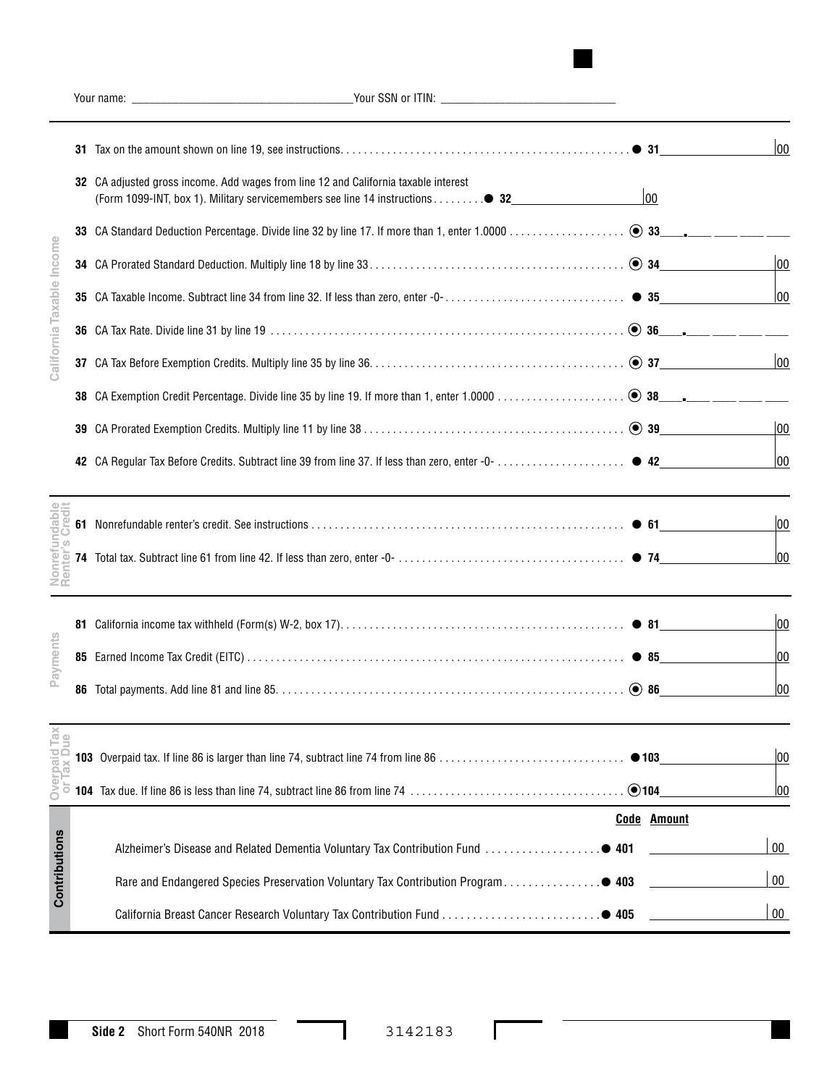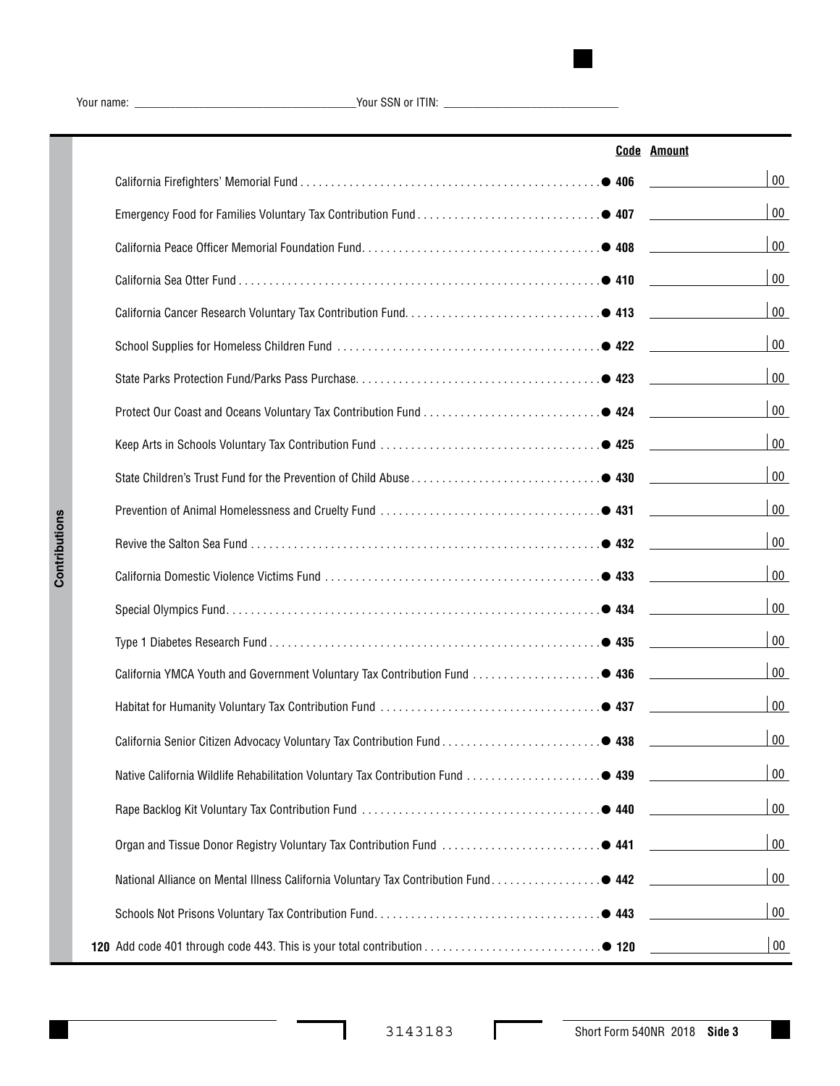Your name: \_\_\_\_\_\_\_\_\_\_\_\_\_\_\_\_\_\_\_\_\_\_\_\_\_\_\_\_\_\_\_\_\_\_\_\_\_\_Your SSN or ITIN: \_\_\_\_\_\_\_\_\_\_\_\_\_\_\_\_\_\_\_\_\_\_\_\_\_\_\_\_\_\_

|                                                                                       | <b>Code Amount</b> |
|---------------------------------------------------------------------------------------|--------------------|
|                                                                                       | $00\,$             |
|                                                                                       | $00\,$             |
|                                                                                       | $00\,$             |
|                                                                                       | $00\,$             |
|                                                                                       | $00\,$             |
|                                                                                       | $00\,$             |
|                                                                                       | $00\,$             |
|                                                                                       | $00\,$             |
|                                                                                       | $00\,$             |
|                                                                                       | $00\,$             |
|                                                                                       | $00\,$             |
|                                                                                       | $00\,$             |
|                                                                                       | $00\,$             |
|                                                                                       | $00\,$             |
|                                                                                       | $00\,$             |
|                                                                                       | $00\,$             |
|                                                                                       | 00                 |
|                                                                                       | $00\,$             |
|                                                                                       | $00\,$             |
|                                                                                       | $00\,$             |
|                                                                                       | $00\,$             |
| National Alliance on Mental Illness California Voluntary Tax Contribution Fund. ● 442 | $00\,$             |
|                                                                                       | $00\,$             |
|                                                                                       | $00\,$             |

 $\Gamma$ 

 $\sim$